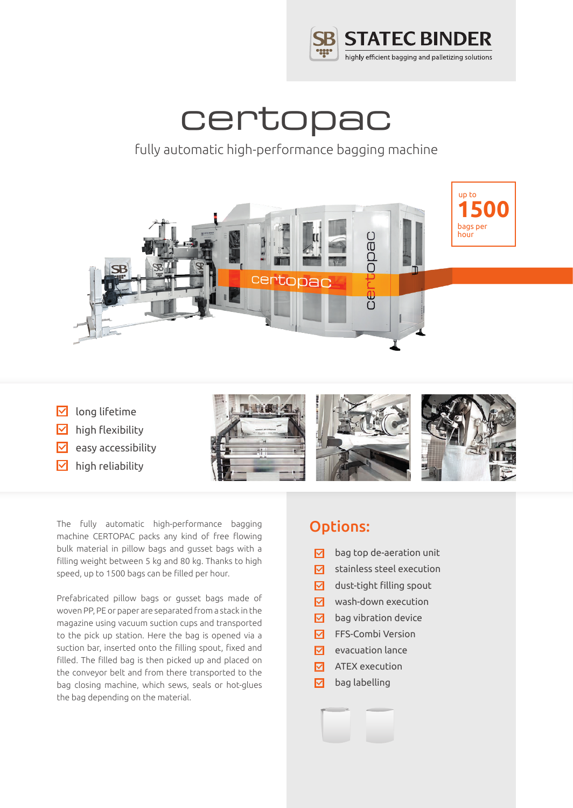

# certopac

### fully automatic high-performance bagging machine



- $\triangleright$  long lifetime
- $\nabla$  high flexibility
- $\triangleright$  easy accessibility
- $\nabla$  high reliability



The fully automatic high-performance bagging machine CERTOPAC packs any kind of free flowing bulk material in pillow bags and gusset bags with a filling weight between 5 kg and 80 kg. Thanks to high speed, up to 1500 bags can be filled per hour.

Prefabricated pillow bags or gusset bags made of woven PP, PE or paper are separated from a stack in the magazine using vacuum suction cups and transported to the pick up station. Here the bag is opened via a suction bar, inserted onto the filling spout, fixed and filled. The filled bag is then picked up and placed on the conveyor belt and from there transported to the bag closing machine, which sews, seals or hot-glues the bag depending on the material.

### Options:

- bag top de-aeration unit  $\nabla$
- $\nabla$ stainless steel execution
- $\nabla$ dust-tight filling spout
- wash-down execution
- bag vibration device  $\nabla$
- $\boxed{\triangledown}$  FFS-Combi Version
- $\nabla$  evacuation lance
- $\nabla$  ATEX execution
- ⊠ bag labelling